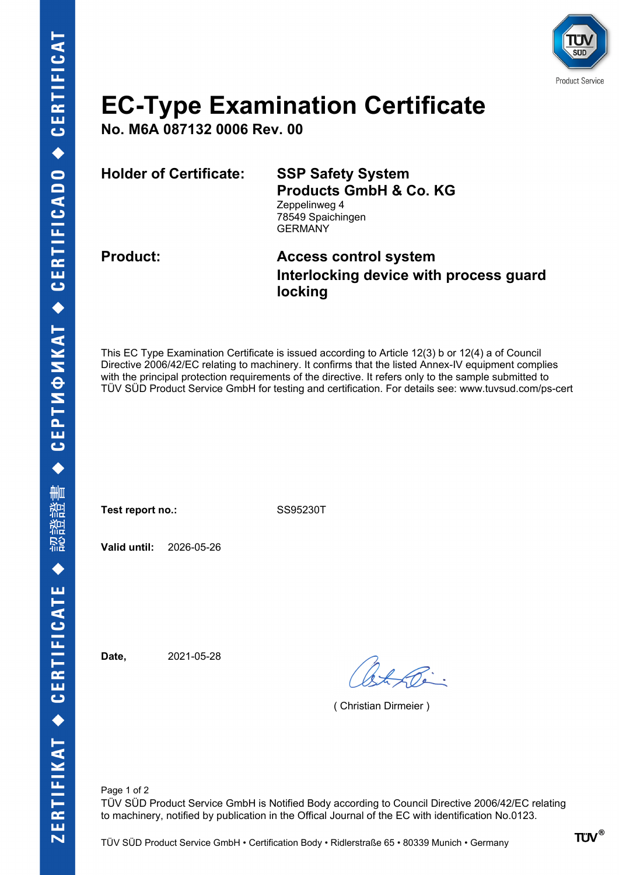

# **EC-Type Examination Certificate**

**No. M6A 087132 0006 Rev. 00**

**Holder of Certificate: SSP Safety System**

**Products GmbH & Co. KG** Zeppelinweg 4

78549 Spaichingen **GERMANY** 

### **Product: Access control system Interlocking device with process guard locking**

This EC Type Examination Certificate is issued according to Article 12(3) b or 12(4) a of Council Directive 2006/42/EC relating to machinery. It confirms that the listed Annex-IV equipment complies with the principal protection requirements of the directive. It refers only to the sample submitted to TÜV SÜD Product Service GmbH for testing and certification. For details see: www.tuvsud.com/ps-cert

Test report no.: SS95230T

**Valid until:** 2026-05-26

**Date,** 2021-05-28

( Christian Dirmeier )

Page 1 of 2 TÜV SÜD Product Service GmbH is Notified Body according to Council Directive 2006/42/EC relating to machinery, notified by publication in the Offical Journal of the EC with identification No.0123.